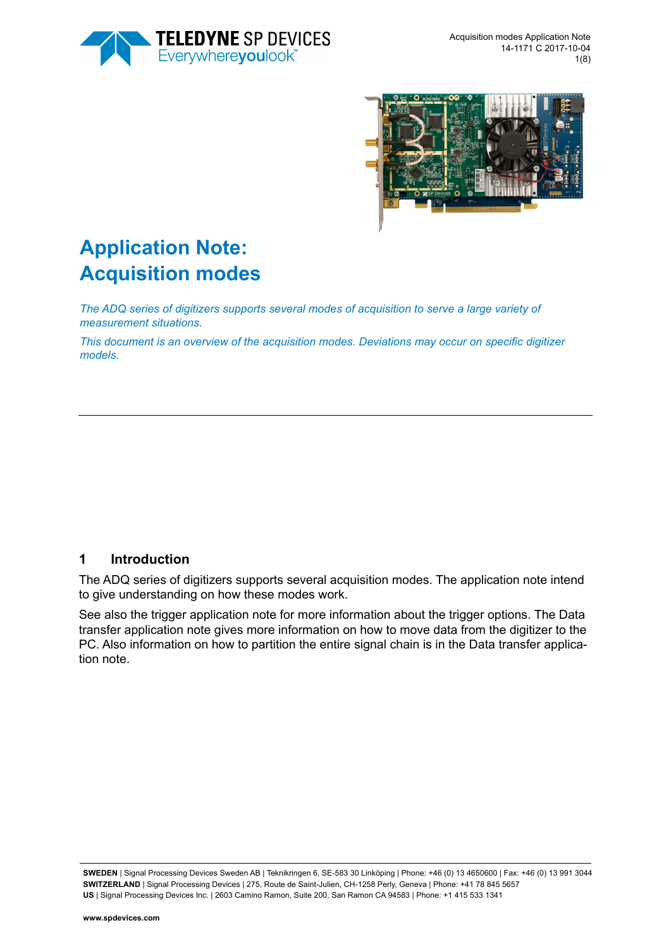



# **Application Note: Acquisition modes**

*The ADQ series of digitizers supports several modes of acquisition to serve a large variety of measurement situations.* 

*This document is an overview of the acquisition modes. Deviations may occur on specific digitizer models.* 

## **1 Introduction**

The ADQ series of digitizers supports several acquisition modes. The application note intend to give understanding on how these modes work.

See also the trigger application note for more information about the trigger options. The Data transfer application note gives more information on how to move data from the digitizer to the PC. Also information on how to partition the entire signal chain is in the Data transfer application note.

**SWEDEN** | Signal Processing Devices Sweden AB | Teknikringen 6, SE-583 30 Linköping | Phone: +46 (0) 13 4650600 | Fax: +46 (0) 13 991 3044 **SWITZERLAND** | Signal Processing Devices | 275, Route de Saint-Julien, CH-1258 Perly, Geneva | Phone: +41 78 845 5657 **US** | Signal Processing Devices Inc. | 2603 Camino Ramon, Suite 200, San Ramon CA 94583 | Phone: +1 415 533 1341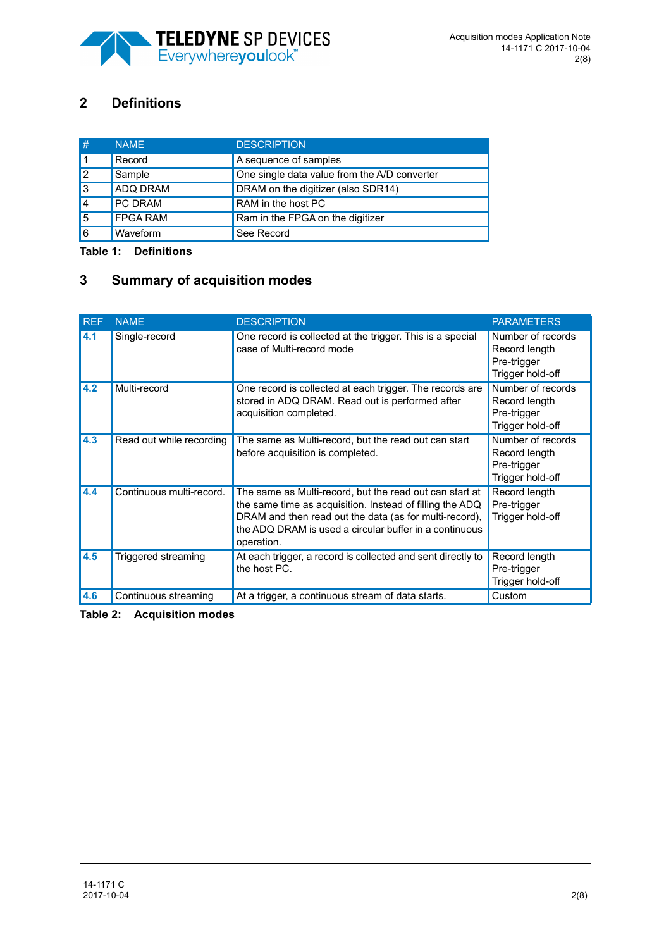

## **2 Definitions**

| #         | <b>NAMF</b>     | <b>DESCRIPTION</b>                           |
|-----------|-----------------|----------------------------------------------|
|           | Record          | A sequence of samples                        |
| <u> 2</u> | Sample          | One single data value from the A/D converter |
| 13        | <b>ADQ DRAM</b> | DRAM on the digitizer (also SDR14)           |
| 14        | <b>PC DRAM</b>  | RAM in the host PC                           |
| 5         | <b>FPGA RAM</b> | Ram in the FPGA on the digitizer             |
| 16        | Waveform        | See Record                                   |

**Table 1: Definitions**

## **3 Summary of acquisition modes**

| <b>REF</b> | <b>NAME</b>              | <b>DESCRIPTION</b>                                                                                                                                                                                                                                    | <b>PARAMETERS</b>                                                     |
|------------|--------------------------|-------------------------------------------------------------------------------------------------------------------------------------------------------------------------------------------------------------------------------------------------------|-----------------------------------------------------------------------|
| 4.1        | Single-record            | One record is collected at the trigger. This is a special<br>case of Multi-record mode                                                                                                                                                                | Number of records<br>Record length<br>Pre-trigger<br>Trigger hold-off |
| 4.2        | Multi-record             | One record is collected at each trigger. The records are<br>stored in ADQ DRAM. Read out is performed after<br>acquisition completed.                                                                                                                 | Number of records<br>Record length<br>Pre-trigger<br>Trigger hold-off |
| 4.3        | Read out while recording | The same as Multi-record, but the read out can start<br>before acquisition is completed.                                                                                                                                                              | Number of records<br>Record length<br>Pre-trigger<br>Trigger hold-off |
| 4.4        | Continuous multi-record. | The same as Multi-record, but the read out can start at<br>the same time as acquisition. Instead of filling the ADQ<br>DRAM and then read out the data (as for multi-record),<br>the ADQ DRAM is used a circular buffer in a continuous<br>operation. | Record length<br>Pre-trigger<br>Trigger hold-off                      |
| 4.5        | Triggered streaming      | At each trigger, a record is collected and sent directly to<br>the host PC.                                                                                                                                                                           | Record length<br>Pre-trigger<br>Trigger hold-off                      |
| 4.6        | Continuous streaming     | At a trigger, a continuous stream of data starts.                                                                                                                                                                                                     | Custom                                                                |

**Table 2: Acquisition modes**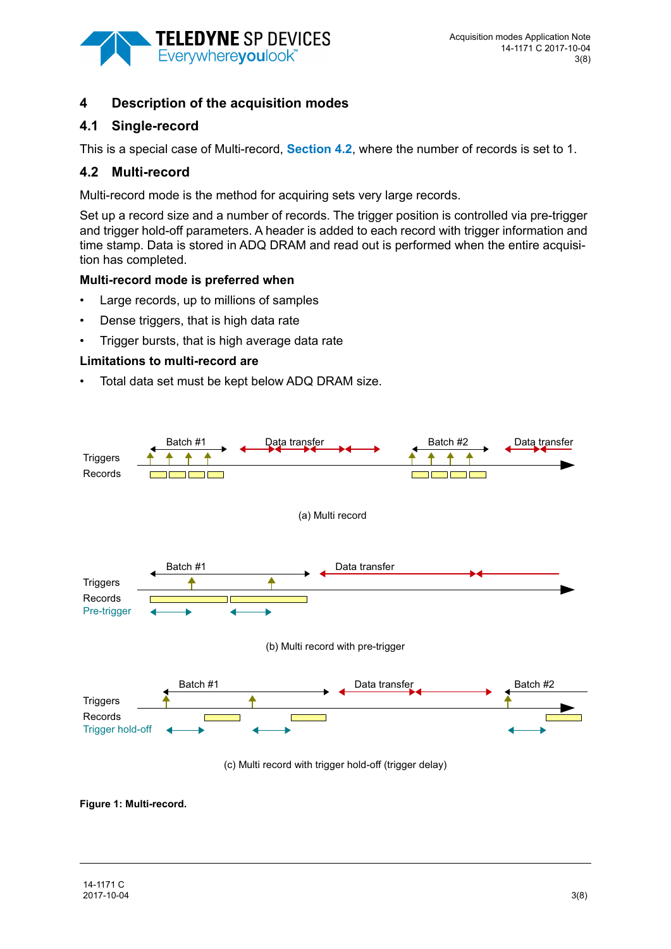

## **4 Description of the acquisition modes**

## <span id="page-2-1"></span>**4.1 Single-record**

This is a special case of Multi-record, **[Section 4.2](#page-2-0)**, where the number of records is set to 1.

## <span id="page-2-0"></span>**4.2 Multi-record**

Multi-record mode is the method for acquiring sets very large records.

Set up a record size and a number of records. The trigger position is controlled via pre-trigger and trigger hold-off parameters. A header is added to each record with trigger information and time stamp. Data is stored in ADQ DRAM and read out is performed when the entire acquisition has completed.

### **Multi-record mode is preferred when**

- Large records, up to millions of samples
- Dense triggers, that is high data rate
- Trigger bursts, that is high average data rate

## **Limitations to multi-record are**

• Total data set must be kept below ADQ DRAM size.



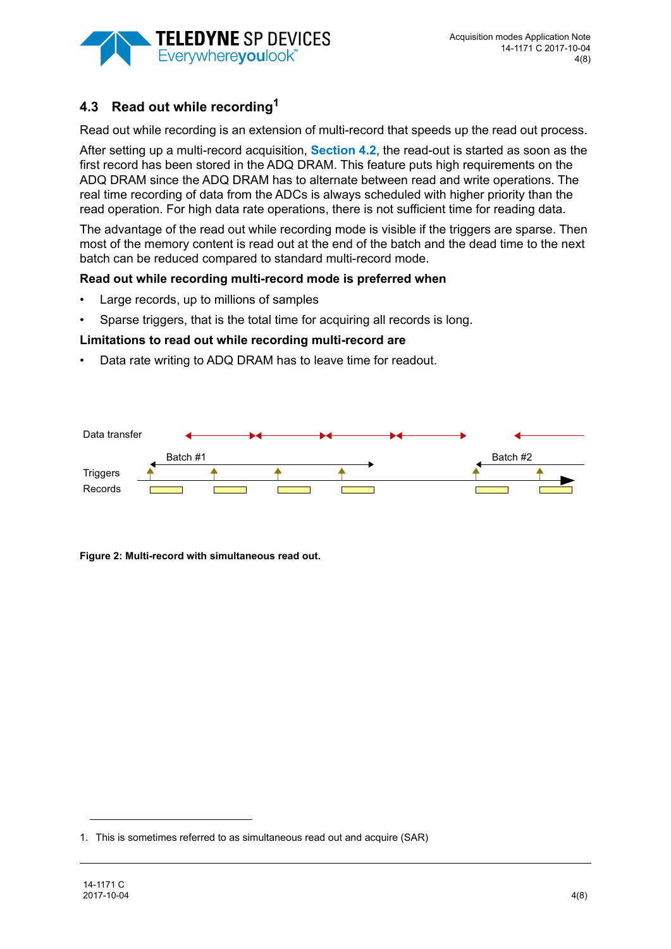

## <span id="page-3-0"></span>**4.3 Read out while recording1**

Read out while recording is an extension of multi-record that speeds up the read out process.

After setting up a multi-record acquisition, **[Section 4.2](#page-2-0)**, the read-out is started as soon as the first record has been stored in the ADQ DRAM. This feature puts high requirements on the ADQ DRAM since the ADQ DRAM has to alternate between read and write operations. The real time recording of data from the ADCs is always scheduled with higher priority than the read operation. For high data rate operations, there is not sufficient time for reading data.

The advantage of the read out while recording mode is visible if the triggers are sparse. Then most of the memory content is read out at the end of the batch and the dead time to the next batch can be reduced compared to standard multi-record mode.

#### **Read out while recording multi-record mode is preferred when**

- Large records, up to millions of samples
- Sparse triggers, that is the total time for acquiring all records is long.

#### **Limitations to read out while recording multi-record are**

Data rate writing to ADQ DRAM has to leave time for readout.



**Figure 2: Multi-record with simultaneous read out.** 

<sup>1.</sup> This is sometimes referred to as simultaneous read out and acquire (SAR)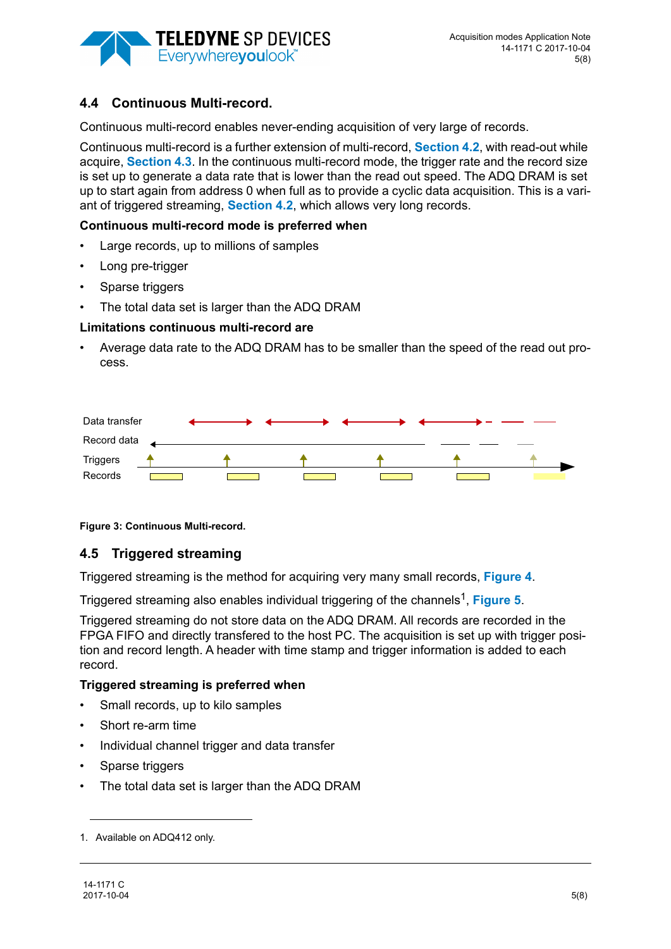

## <span id="page-4-1"></span>**4.4 Continuous Multi-record.**

Continuous multi-record enables never-ending acquisition of very large of records.

Continuous multi-record is a further extension of multi-record, **[Section 4.2](#page-2-0)**, with read-out while acquire, **[Section 4.3](#page-3-0)**. In the continuous multi-record mode, the trigger rate and the record size is set up to generate a data rate that is lower than the read out speed. The ADQ DRAM is set up to start again from address 0 when full as to provide a cyclic data acquisition. This is a variant of triggered streaming, **[Section 4.2](#page-2-0)**, which allows very long records.

#### **Continuous multi-record mode is preferred when**

- Large records, up to millions of samples
- Long pre-trigger
- Sparse triggers
- The total data set is larger than the ADQ DRAM

#### **Limitations continuous multi-record are**

• Average data rate to the ADQ DRAM has to be smaller than the speed of the read out process.



**Figure 3: Continuous Multi-record.**

#### <span id="page-4-0"></span>**4.5 Triggered streaming**

Triggered streaming is the method for acquiring very many small records, **[Figure 4](#page-5-0)**.

Triggered streaming also enables individual triggering of the channels<sup>1</sup>, [Figure 5](#page-5-1).

Triggered streaming do not store data on the ADQ DRAM. All records are recorded in the FPGA FIFO and directly transfered to the host PC. The acquisition is set up with trigger position and record length. A header with time stamp and trigger information is added to each record.

#### **Triggered streaming is preferred when**

- Small records, up to kilo samples
- Short re-arm time
- Individual channel trigger and data transfer
- Sparse triggers
- The total data set is larger than the ADQ DRAM

<sup>1.</sup> Available on ADQ412 only.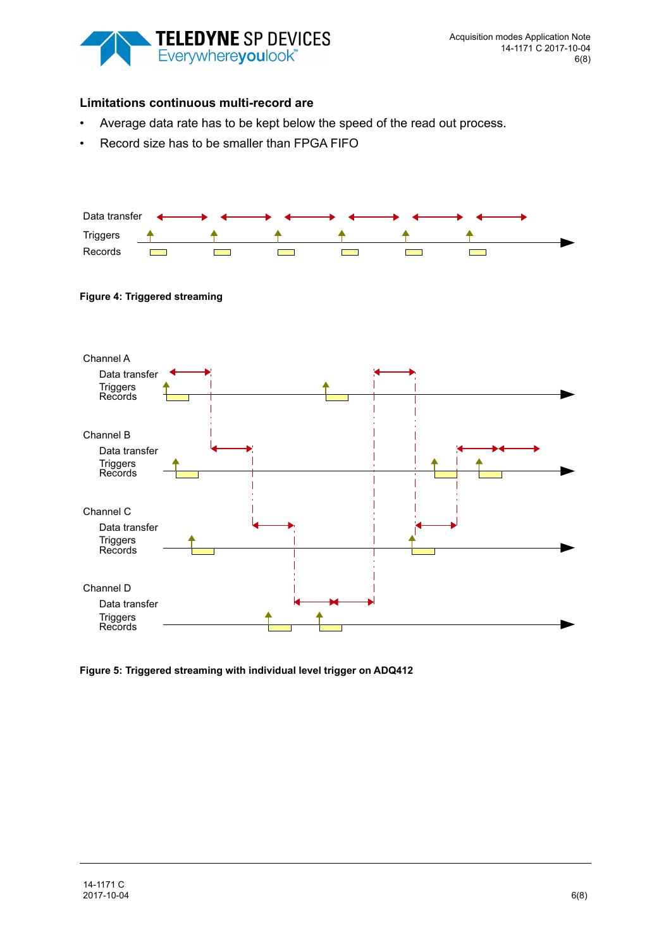

#### **Limitations continuous multi-record are**

- Average data rate has to be kept below the speed of the read out process.
- Record size has to be smaller than FPGA FIFO



#### <span id="page-5-0"></span>**Figure 4: Triggered streaming**



<span id="page-5-1"></span>**Figure 5: Triggered streaming with individual level trigger on ADQ412**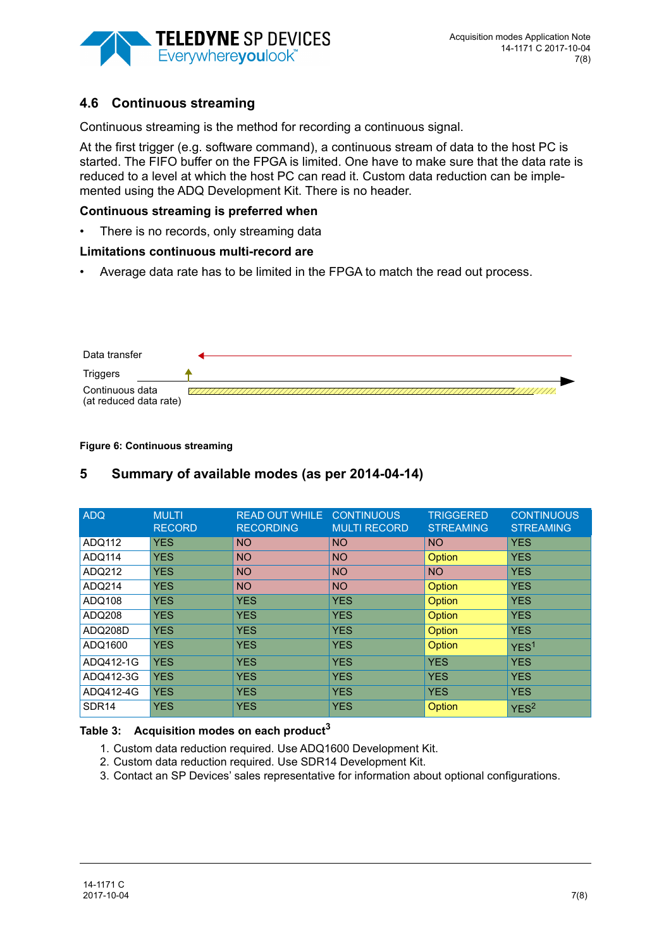

## <span id="page-6-0"></span>**4.6 Continuous streaming**

Continuous streaming is the method for recording a continuous signal.

At the first trigger (e.g. software command), a continuous stream of data to the host PC is started. The FIFO buffer on the FPGA is limited. One have to make sure that the data rate is reduced to a level at which the host PC can read it. Custom data reduction can be implemented using the ADQ Development Kit. There is no header.

#### **Continuous streaming is preferred when**

There is no records, only streaming data

#### **Limitations continuous multi-record are**

• Average data rate has to be limited in the FPGA to match the read out process.

| Data transfer                             |  |
|-------------------------------------------|--|
| <b>Triggers</b>                           |  |
| Continuous data<br>(at reduced data rate) |  |

#### **Figure 6: Continuous streaming**

#### ADQ MULTI RECORD READ OUT WHILE **RECORDING CONTINUOUS** MULTI RECORD TRIGGERED **STREAMING CONTINUOUS STREAMING** ADQ112 YES NO NO NO NO YES ADQ114 YES NO NO NO <mark>Option</mark> YES ADQ212 YES NO NO NO NO YES ADQ214 YES NO NO NO <mark>Option Y</mark>ES ADQ108 YES YES YES YES Option YES ADQ108 ADQ208 YES YES YES YES Option YES ADQ208D YES YES YES YES Option YES ADQ1600 YES YES YES YES <mark>YES Option YES</mark> ADQ412-1G YES YES YES YES YES ADQ412-3G YES YES YES YES YES YES YES ADQ412-4G YES YES YES YES YES YES YES SDR14 YES YES YES YES Option  $Y$ ES

## **5 Summary of available modes (as per 2014-04-14)**

#### **Table 3: Acquisition modes on each product<sup>3</sup>**

- 1. Custom data reduction required. Use ADQ1600 Development Kit.
- 2. Custom data reduction required. Use SDR14 Development Kit.
- 3. Contact an SP Devices' sales representative for information about optional configurations.